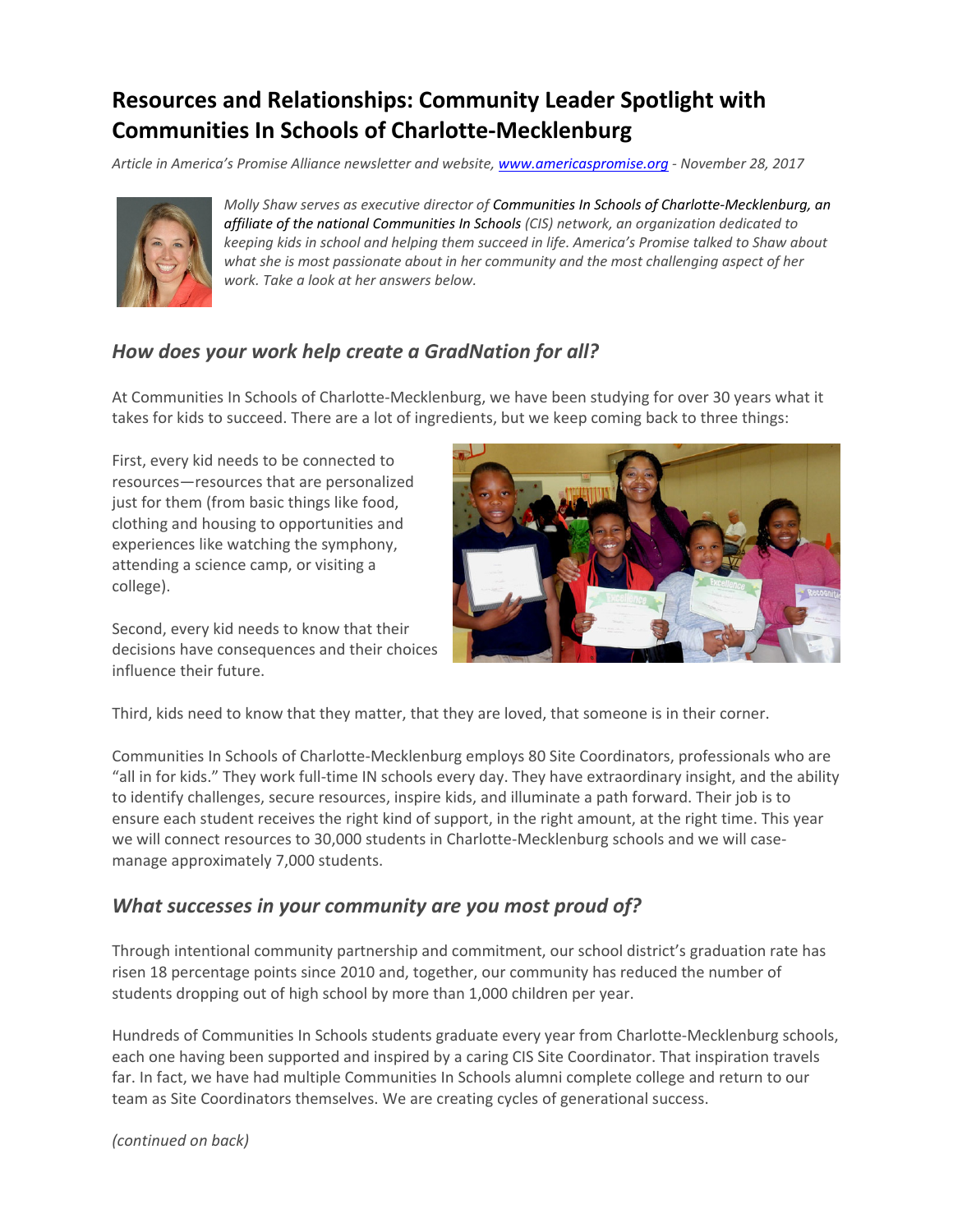# **Resources and Relationships: Community Leader Spotlight with Communities In Schools of Charlotte‐Mecklenburg**

*Article in America's Promise Alliance newsletter and website, www.americaspromise.org ‐ November 28, 2017*



*Molly Shaw serves as executive director of Communities In Schools of Charlotte‐Mecklenburg, an affiliate of the national Communities In Schools (CIS) network, an organization dedicated to keeping kids in school and helping them succeed in life. America's Promise talked to Shaw about what she is most passionate about in her community and the most challenging aspect of her work. Take a look at her answers below.*

# *How does your work help create a GradNation for all?*

At Communities In Schools of Charlotte‐Mecklenburg, we have been studying for over 30 years what it takes for kids to succeed. There are a lot of ingredients, but we keep coming back to three things:

First, every kid needs to be connected to resources—resources that are personalized just for them (from basic things like food, clothing and housing to opportunities and experiences like watching the symphony, attending a science camp, or visiting a college).

Second, every kid needs to know that their decisions have consequences and their choices influence their future.



Third, kids need to know that they matter, that they are loved, that someone is in their corner.

Communities In Schools of Charlotte‐Mecklenburg employs 80 Site Coordinators, professionals who are "all in for kids." They work full‐time IN schools every day. They have extraordinary insight, and the ability to identify challenges, secure resources, inspire kids, and illuminate a path forward. Their job is to ensure each student receives the right kind of support, in the right amount, at the right time. This year we will connect resources to 30,000 students in Charlotte-Mecklenburg schools and we will casemanage approximately 7,000 students.

#### *What successes in your community are you most proud of?*

Through intentional community partnership and commitment, our school district's graduation rate has risen 18 percentage points since 2010 and, together, our community has reduced the number of students dropping out of high school by more than 1,000 children per year.

Hundreds of Communities In Schools students graduate every year from Charlotte-Mecklenburg schools, each one having been supported and inspired by a caring CIS Site Coordinator. That inspiration travels far. In fact, we have had multiple Communities In Schools alumni complete college and return to our team as Site Coordinators themselves. We are creating cycles of generational success.